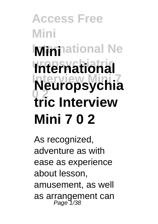# **Access Free Mini Mini**national Ne **International Interview Mini 7 Neuropsychia 0 2 tric Interview Mini 7 0 2**

As recognized, adventure as with ease as experience about lesson, amusement, as well as arrangement can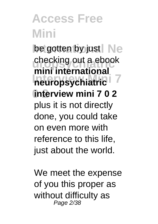be gotten by just Ne checking out a ebook **International 7 0 2 interview mini 7 0 2 mini international** plus it is not directly done, you could take on even more with reference to this life, just about the world.

We meet the expense of you this proper as without difficulty as Page 2/38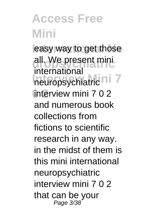**Access Free Mini** easy way to get those **uropsychiatric** all. We present mini neuropsychiatric<sup>ni7</sup> **0 2** interview mini 7 0 2 international and numerous book collections from fictions to scientific research in any way. in the midst of them is this mini international neuropsychiatric interview mini 7 0 2 that can be your Page 3/38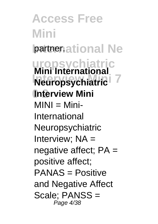**Access Free Mini partner.ational Ne uropsychiatric Mini International INTERVIEW MINITED 7 0 2 Interview Mini**  $MINI = Mini-$ International Neuropsychiatric Interview; NA = negative affect; PA = positive affect; PANAS = Positive and Negative Affect Scale; PANSS = Page 4/38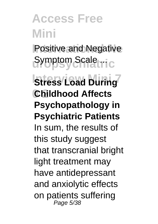**Positive and Negative** Symptom Scale ...

**Interview Coad During 0 2 Childhood Affects Psychopathology in Psychiatric Patients** In sum, the results of this study suggest that transcranial bright light treatment may have antidepressant and anxiolytic effects on patients suffering Page 5/38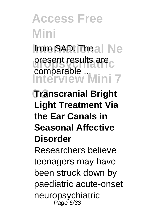from SAD. Theal Ne present results are<sub>c</sub> **Interview Mini 7** comparable ...

**0 2 Transcranial Bright Light Treatment Via the Ear Canals in Seasonal Affective Disorder** Researchers believe

teenagers may have been struck down by paediatric acute-onset neuropsychiatric<br><sup>Page 6/38</sup>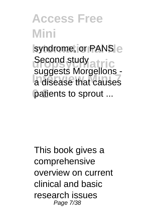syndrome, or PANS e Second study<br>suggests Morgellons -**Interview Mini 7** a disease that causes patients to sprout ... Second study

This book gives a comprehensive overview on current clinical and basic research issues Page 7/38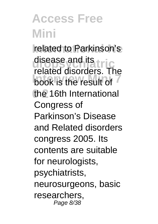related to Parkinson's disease and its **tric Indian allowable. 0 2** the 16th International related disorders. The Congress of Parkinson's Disease and Related disorders congress 2005. Its contents are suitable for neurologists, psychiatrists, neurosurgeons, basic researchers, Page 8/38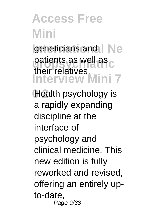**geneticians and | Ne** patients as well as c **Interview Mini 7** their relatives.

Health psychology is a rapidly expanding discipline at the interface of psychology and clinical medicine. This new edition is fully reworked and revised, offering an entirely upto-date, Page 9/38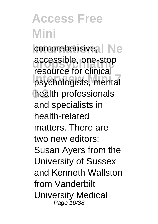comprehensive, Ne accessible, one-stop psychologists, mental **0 2** health professionals resource for clinical and specialists in health-related matters. There are two new editors: Susan Ayers from the University of Sussex and Kenneth Wallston from Vanderbilt University Medical Page 10/38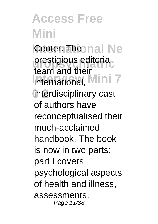**Center Theonal Ne** prestigious editorial international, Mini 7 **0 2** interdisciplinary cast team and their of authors have reconceptualised their much-acclaimed handbook. The book is now in two parts: part I covers psychological aspects of health and illness, assessments, Page 11/38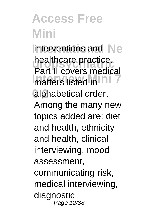Interventions and Ne healthcare practice. matters listed in **INT** alphabetical order. Part II covers medical Among the many new topics added are: diet and health, ethnicity and health, clinical interviewing, mood assessment, communicating risk, medical interviewing, diagnostic Page 12/38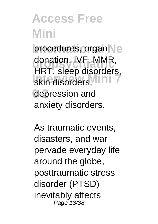procedures, organ e donation, IVF, MMR, skin disorders, **INT 0 2** depression and HRT, sleep disorders, anxiety disorders.

As traumatic events, disasters, and war pervade everyday life around the globe, posttraumatic stress disorder (PTSD) inevitably affects Page 13/38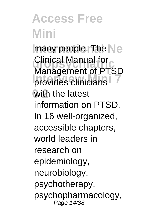**Imany people. The Ne Clinical Manual for**<br>Management of PTSD **Indiagonians 0 2** with the latest Clinical Manual for information on PTSD. In 16 well-organized, accessible chapters, world leaders in research on epidemiology, neurobiology, psychotherapy, psychopharmacology, Page 14/38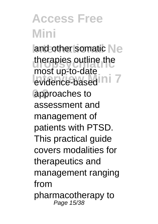and other somatic Ne therapies outline the **Interview Mini 7**<br> **Interview Mini 7 0 2** approaches to most up-to-date assessment and management of patients with PTSD. This practical guide covers modalities for therapeutics and management ranging from pharmacotherapy to Page 15/38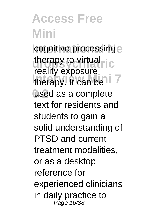cognitive processing e therapy to virtual<sub>ric</sub> therapy. It can be<sup>11</sup> **0 2** used as a complete reality exposure text for residents and students to gain a solid understanding of PTSD and current treatment modalities, or as a desktop reference for experienced clinicians in daily practice to Page 16/38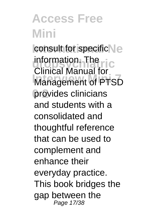consult for specific Ne information. The ric **Management of PTSD 0 2** provides clinicians Clinical Manual for and students with a consolidated and thoughtful reference that can be used to complement and enhance their everyday practice. This book bridges the gap between the Page 17/38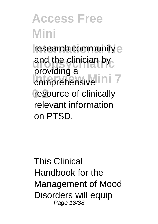**research community** e and the clinician by comprehensive Ini<sup>7</sup> resource of clinically providing a relevant information on PTSD.

This Clinical Handbook for the Management of Mood Disorders will equip Page 18/38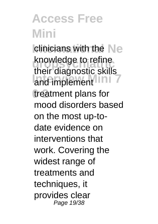**Iclinicians with the Ne** knowledge to refine and implement INI<sup>7</sup> treatment plans for their diagnostic skills mood disorders based on the most up-todate evidence on interventions that work. Covering the widest range of treatments and techniques, it provides clear Page 19/38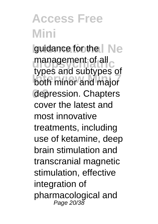**Iguidance for the | Ne** management of all c **Interview Minimum 2**<br>both minor and major **0 2** depression. Chapters types and subtypes of cover the latest and most innovative treatments, including use of ketamine, deep brain stimulation and transcranial magnetic stimulation, effective integration of pharmacological and Page 20/38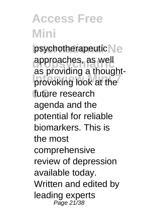psychotherapeutic Ne **uropsychiatric** approaches, as well **Interview Mini 7** provoking look at the future research as providing a thoughtagenda and the potential for reliable biomarkers. This is the most comprehensive review of depression available today. Written and edited by leading experts Page 21/38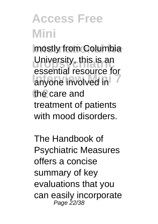**Imostly from Columbia** University, this is an anyone involved in the care and essential resource for treatment of patients with mood disorders.

The Handbook of Psychiatric Measures offers a concise summary of key evaluations that you can easily incorporate Page 22/38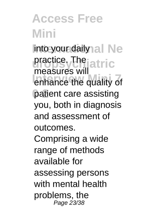Into your daily al Ne practice. The jatric **Increase of the quality of 0 2** patient care assisting measures will you, both in diagnosis and assessment of outcomes.

Comprising a wide range of methods available for assessing persons with mental health problems, the Page 23/38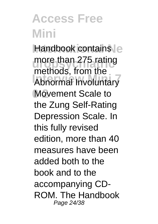Handbook contains more than 275 rating **Internation**, item and **0 2** Movement Scale to methods, from the the Zung Self-Rating Depression Scale. In this fully revised edition, more than 40 measures have been added both to the book and to the accompanying CD-ROM. The Handbook Page 24/38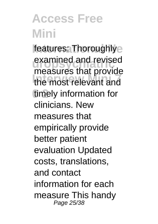features: Thoroughlye examined and revised<br>measures that provide **Interview Mini 7** the most relevant and **0 2** timely information for examined and revised clinicians. New measures that empirically provide better patient evaluation Updated costs, translations, and contact information for each measure This handy Page 25/38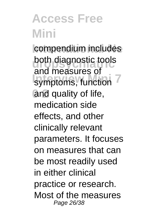compendium includes both diagnostic tools symptoms, function and quality of life, and measures of medication side effects, and other clinically relevant parameters. It focuses on measures that can be most readily used in either clinical practice or research. Most of the measures Page 26/38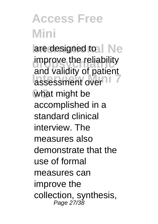are designed to I Ne **improve the reliability** assessment over<sup>11</sup> **0 2** what might be and validity of patient accomplished in a standard clinical interview. The measures also demonstrate that the use of formal measures can improve the collection, synthesis, Page 27/38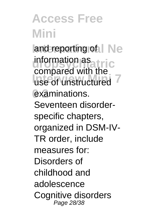and reporting of I Ne **uropsychiatric** information as use of unstructured examinations. compared with the Seventeen disorderspecific chapters, organized in DSM-IV-TR order, include measures for: Disorders of childhood and adolescence Cognitive disorders Page 28/38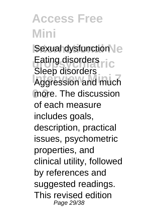**ISexual dysfunction** Eating disorders ric **Interview Mich 7** more. The discussion Sleep disorders of each measure includes goals, description, practical issues, psychometric properties, and clinical utility, followed by references and suggested readings. This revised edition Page 29/38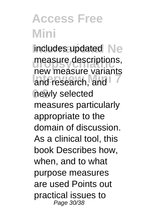**Includes updated Ne** measure descriptions, **Inch measure vanding 0 2** newly selected new measure variants measures particularly appropriate to the domain of discussion. As a clinical tool, this book Describes how, when, and to what purpose measures are used Points out practical issues to Page 30/38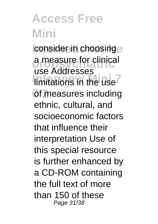consider in choosinge **uropsychiatric** a measure for clinical **Imitations in the use of measures including** use Addresses ethnic, cultural, and socioeconomic factors that influence their interpretation Use of this special resource is further enhanced by a CD-ROM containing the full text of more than 150 of these Page 31/38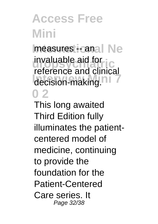Ineasures **--** anal Ne **uropsychiatric** invaluable aid for decision-making.<sup>11</sup> **0 2** reference and clinical

This long awaited Third Edition fully illuminates the patientcentered model of medicine, continuing to provide the foundation for the Patient-Centered Care series. It Page 32/38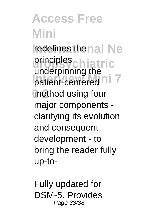**redefines the nal Ne uropsychiatric** principles patient-centered<sup>ni</sup> 7 method using four underpinning the major components clarifying its evolution and consequent development - to bring the reader fully up-to-

Fully updated for DSM-5. Provides Page 33/38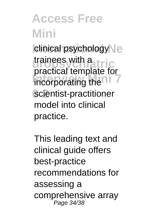clinical psychology<sup>1</sup>e trainees with a<br>practical template for **Incorporating the TTT 0 2** scientist-practitioner trainees with a model into clinical practice.

This leading text and clinical guide offers best-practice recommendations for assessing a comprehensive array Page 34/38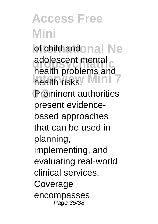**Iof child andonal Ne** adolescent mental<br> **bacith archieves** health risks.<sup>*Wini* 7</sup> **0 2** Prominent authorities health problems and present evidencebased approaches that can be used in planning, implementing, and evaluating real-world clinical services. Coverage encompasses Page 35/38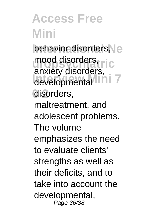behavior disorders, mood disorders, ric developmental Ini<sup>7</sup> disorders, anxiety disorders, maltreatment, and adolescent problems. The volume emphasizes the need to evaluate clients' strengths as well as their deficits, and to take into account the developmental, Page 36/38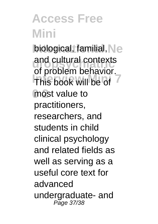biological, familial, Ne and cultural contexts **Interview Milleup 19** most value to of problem behavior. practitioners, researchers, and students in child clinical psychology and related fields as well as serving as a useful core text for advanced undergraduate- and Page 37/38